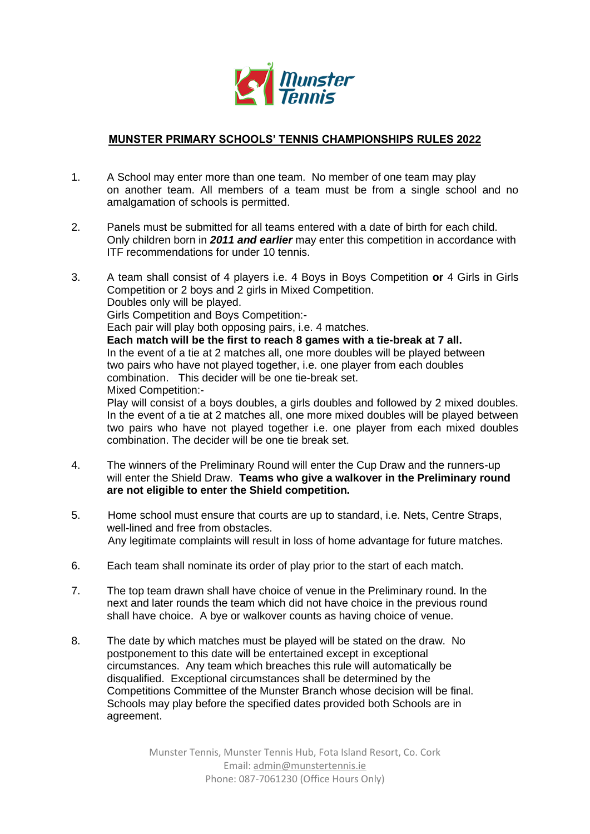

## **MUNSTER PRIMARY SCHOOLS' TENNIS CHAMPIONSHIPS RULES 2022**

- 1. A School may enter more than one team. No member of one team may play on another team. All members of a team must be from a single school and no amalgamation of schools is permitted.
- 2. Panels must be submitted for all teams entered with a date of birth for each child. Only children born in *2011 and earlier* may enter this competition in accordance with ITF recommendations for under 10 tennis.
- 3. A team shall consist of 4 players i.e. 4 Boys in Boys Competition **or** 4 Girls in Girls Competition or 2 boys and 2 girls in Mixed Competition. Doubles only will be played. Girls Competition and Boys Competition:- Each pair will play both opposing pairs, i.e. 4 matches. **Each match will be the first to reach 8 games with a tie-break at 7 all.** In the event of a tie at 2 matches all, one more doubles will be played between two pairs who have not played together, i.e. one player from each doubles combination. This decider will be one tie-break set. Mixed Competition:- Play will consist of a boys doubles, a girls doubles and followed by 2 mixed doubles. In the event of a tie at 2 matches all, one more mixed doubles will be played between two pairs who have not played together i.e. one player from each mixed doubles combination. The decider will be one tie break set.
- 4. The winners of the Preliminary Round will enter the Cup Draw and the runners-up will enter the Shield Draw. **Teams who give a walkover in the Preliminary round are not eligible to enter the Shield competition.**
- 5. Home school must ensure that courts are up to standard, i.e. Nets, Centre Straps, well-lined and free from obstacles. Any legitimate complaints will result in loss of home advantage for future matches.
- 6. Each team shall nominate its order of play prior to the start of each match.
- 7. The top team drawn shall have choice of venue in the Preliminary round. In the next and later rounds the team which did not have choice in the previous round shall have choice. A bye or walkover counts as having choice of venue.
- 8. The date by which matches must be played will be stated on the draw. No postponement to this date will be entertained except in exceptional circumstances. Any team which breaches this rule will automatically be disqualified. Exceptional circumstances shall be determined by the Competitions Committee of the Munster Branch whose decision will be final. Schools may play before the specified dates provided both Schools are in agreement.

Munster Tennis, Munster Tennis Hub, Fota Island Resort, Co. Cork Email[: admin@munstertennis.ie](mailto:admin@munstertennis.ie) Phone: 087-7061230 (Office Hours Only)